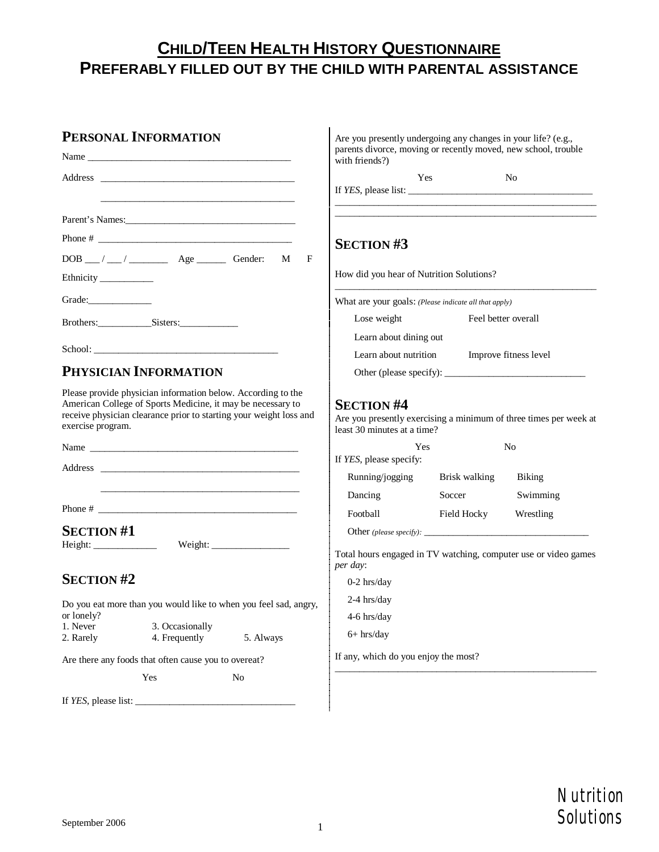# **CHILD/TEEN HEALTH HISTORY QUESTIONNAIRE PREFERABLY FILLED OUT BY THE CHILD WITH PARENTAL ASSISTANCE**

### **PERSONAL INFORMATION**

|                         | Name and the contract of the contract of the contract of the contract of the contract of the contract of the contract of the contract of the contract of the contract of the contract of the contract of the contract of the c |                |   |
|-------------------------|--------------------------------------------------------------------------------------------------------------------------------------------------------------------------------------------------------------------------------|----------------|---|
| Address                 |                                                                                                                                                                                                                                |                |   |
|                         |                                                                                                                                                                                                                                |                |   |
|                         | Parent's Names: 2008. [2016] Parent's Names:                                                                                                                                                                                   |                |   |
|                         |                                                                                                                                                                                                                                |                |   |
|                         | DOB __/ __/ ___ Age ________ Gender: M                                                                                                                                                                                         |                | F |
| Ethnicity _____________ |                                                                                                                                                                                                                                |                |   |
| Grade:                  |                                                                                                                                                                                                                                |                |   |
|                         | Brothers: Sisters:                                                                                                                                                                                                             |                |   |
|                         |                                                                                                                                                                                                                                |                |   |
|                         | PHYSICIAN INFORMATION                                                                                                                                                                                                          |                |   |
| exercise program.       | receive physician clearance prior to starting your weight loss and                                                                                                                                                             |                |   |
|                         |                                                                                                                                                                                                                                |                |   |
|                         |                                                                                                                                                                                                                                |                |   |
|                         | Phone # $\frac{1}{2}$                                                                                                                                                                                                          |                |   |
| <b>SECTION#1</b>        |                                                                                                                                                                                                                                |                |   |
| <b>SECTION #2</b>       |                                                                                                                                                                                                                                |                |   |
| or lonely?              | Do you eat more than you would like to when you feel sad, angry,                                                                                                                                                               |                |   |
| 1. Never<br>2. Rarely   | 3. Occasionally<br>4. Frequently                                                                                                                                                                                               | 5. Always      |   |
|                         | Are there any foods that often cause you to overeat?                                                                                                                                                                           |                |   |
|                         | Yes                                                                                                                                                                                                                            | N <sub>o</sub> |   |
|                         | If $YES$ , please list: $\frac{1}{1}$                                                                                                                                                                                          |                |   |
|                         |                                                                                                                                                                                                                                |                |   |

|                                                                                                                                                                                                                                                                                                       | Yes                                                               | N <sub>0</sub> |
|-------------------------------------------------------------------------------------------------------------------------------------------------------------------------------------------------------------------------------------------------------------------------------------------------------|-------------------------------------------------------------------|----------------|
| If $YES$ , please list: $\frac{1}{1}$ = $\frac{1}{1}$ = $\frac{1}{1}$ = $\frac{1}{1}$ = $\frac{1}{1}$ = $\frac{1}{1}$ = $\frac{1}{1}$ = $\frac{1}{1}$ = $\frac{1}{1}$ = $\frac{1}{1}$ = $\frac{1}{1}$ = $\frac{1}{1}$ = $\frac{1}{1}$ = $\frac{1}{1}$ = $\frac{1}{1}$ = $\frac{1}{1}$ = $\frac{1}{1}$ |                                                                   |                |
| <b>SECTION #3</b>                                                                                                                                                                                                                                                                                     |                                                                   |                |
| How did you hear of Nutrition Solutions?                                                                                                                                                                                                                                                              |                                                                   |                |
| What are your goals: (Please indicate all that apply)                                                                                                                                                                                                                                                 |                                                                   |                |
| Feel better overall<br>Lose weight                                                                                                                                                                                                                                                                    |                                                                   |                |
| Learn about dining out                                                                                                                                                                                                                                                                                |                                                                   |                |
|                                                                                                                                                                                                                                                                                                       | Learn about nutrition Improve fitness level                       |                |
|                                                                                                                                                                                                                                                                                                       |                                                                   |                |
| <b>SECTION #4</b>                                                                                                                                                                                                                                                                                     | Are you presently exercising a minimum of three times per week at |                |
|                                                                                                                                                                                                                                                                                                       | Yes                                                               | No             |
|                                                                                                                                                                                                                                                                                                       |                                                                   |                |
|                                                                                                                                                                                                                                                                                                       | Running/jogging Brisk walking Biking                              |                |
| least 30 minutes at a time?<br>If YES, please specify:<br>Dancing                                                                                                                                                                                                                                     | Soccer                                                            | Swimming       |
| Football                                                                                                                                                                                                                                                                                              | Field Hocky Wrestling                                             |                |
| Total hours engaged in TV watching, computer use or video games<br>per day:                                                                                                                                                                                                                           |                                                                   |                |
| $0-2$ hrs/day                                                                                                                                                                                                                                                                                         |                                                                   |                |
| $2-4$ hrs/day                                                                                                                                                                                                                                                                                         |                                                                   |                |